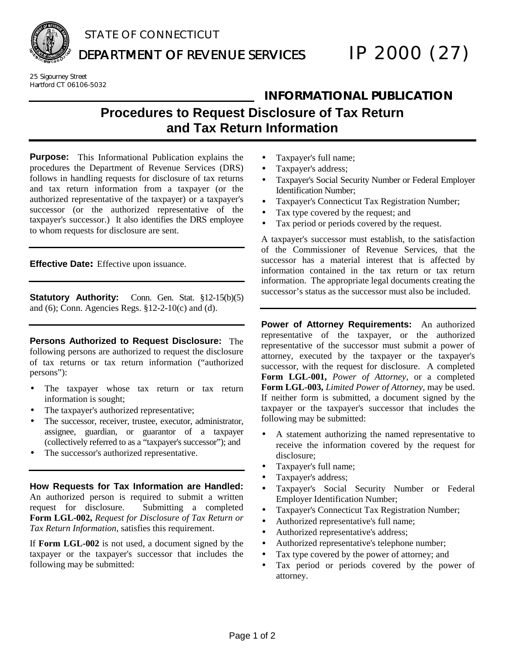

# STATE OF CONNECTICUT

DEPARTMENT OF REVENUE SERVICES **IP 2000 (27)** 

25 Sigourney Street Hartford CT 06106-5032

## **INFORMATIONAL PUBLICATION**

**Procedures to Request Disclosure of Tax Return and Tax Return Information**

**Purpose:** This Informational Publication explains the procedures the Department of Revenue Services (DRS) follows in handling requests for disclosure of tax returns and tax return information from a taxpayer (or the authorized representative of the taxpayer) or a taxpayer's successor (or the authorized representative of the taxpayer's successor.) It also identifies the DRS employee to whom requests for disclosure are sent.

**Effective Date:** Effective upon issuance.

**Statutory Authority:** Conn. Gen. Stat. §12-15(b)(5) and (6); Conn. Agencies Regs. §12-2-10(c) and (d).

**Persons Authorized to Request Disclosure:** The following persons are authorized to request the disclosure of tax returns or tax return information ("authorized persons"):

- The taxpayer whose tax return or tax return information is sought;
- The taxpayer's authorized representative;
- The successor, receiver, trustee, executor, administrator, assignee, guardian, or guarantor of a taxpayer (collectively referred to as a "taxpayer's successor"); and
- The successor's authorized representative.

**How Requests for Tax Information are Handled:**  An authorized person is required to submit a written request for disclosure. Submitting a completed **Form LGL-002,** *Request for Disclosure of Tax Return or Tax Return Information*, satisfies this requirement.

If **Form LGL-002** is not used, a document signed by the taxpayer or the taxpayer's successor that includes the following may be submitted:

- Taxpayer's full name;
- Taxpayer's address;
- Taxpayer's Social Security Number or Federal Employer Identification Number;
- Taxpayer's Connecticut Tax Registration Number;
- Tax type covered by the request; and
- Tax period or periods covered by the request.

A taxpayer's successor must establish, to the satisfaction of the Commissioner of Revenue Services, that the successor has a material interest that is affected by information contained in the tax return or tax return information. The appropriate legal documents creating the successor's status as the successor must also be included.

**Power of Attorney Requirements:** An authorized representative of the taxpayer, or the authorized representative of the successor must submit a power of attorney, executed by the taxpayer or the taxpayer's successor, with the request for disclosure. A completed **Form LGL-001,** *Power of Attorney*, or a completed **Form LGL-003,** *Limited Power of Attorney*, may be used. If neither form is submitted, a document signed by the taxpayer or the taxpayer's successor that includes the following may be submitted:

- A statement authorizing the named representative to receive the information covered by the request for disclosure;
- Taxpayer's full name;
- Taxpayer's address;
- Taxpayer's Social Security Number or Federal Employer Identification Number;
- Taxpayer's Connecticut Tax Registration Number;
- Authorized representative's full name;
- Authorized representative's address;
- Authorized representative's telephone number;
- Tax type covered by the power of attorney; and
- Tax period or periods covered by the power of attorney.